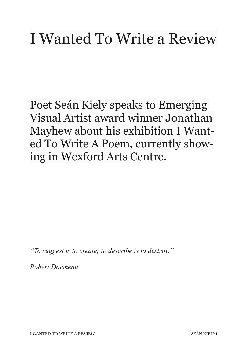## I Wanted To Write a Review

Poet Seán Kiely speaks to Emerging Visual Artist award winner Jonathan Mayhew about his exhibition I Wanted To Write A Poem, currently showing in Wexford Arts Centre.

*"To suggest is to create; to describe is to destroy."* 

*Robert Doisneau*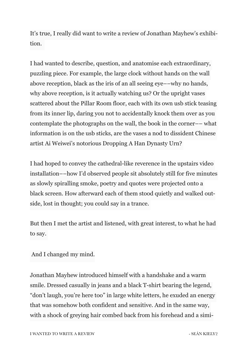It's true, I really did want to write a review of Jonathan Mayhew's exhibition.

I had wanted to describe, question, and anatomise each extraordinary, puzzling piece. For example, the large clock without hands on the wall above reception, black as the iris of an all seeing eye––why no hands, why above reception, is it actually watching us? Or the upright vases scattered about the Pillar Room floor, each with its own usb stick teasing from its inner lip, daring you not to accidentally knock them over as you contemplate the photographs on the wall, the book in the corner–– what information is on the usb sticks, are the vases a nod to dissident Chinese artist Ai Weiwei's notorious Dropping A Han Dynasty Urn?

I had hoped to convey the cathedral-like reverence in the upstairs video installation––how I'd observed people sit absolutely still for five minutes as slowly spiralling smoke, poetry and quotes were projected onto a black screen. How afterward each of them stood quietly and walked outside, lost in thought; you could say in a trance.

But then I met the artist and listened, with great interest, to what he had to say.

And I changed my mind.

Jonathan Mayhew introduced himself with a handshake and a warm smile. Dressed casually in jeans and a black T-shirt bearing the legend, "don't laugh, you're here too" in large white letters, he exuded an energy that was somehow both confident and sensitive. And in the same way, with a shock of greying hair combed back from his forehead and a simi-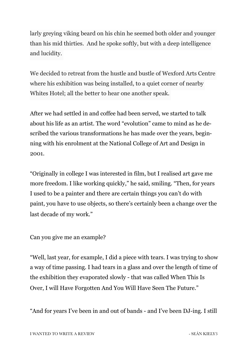larly greying viking beard on his chin he seemed both older and younger than his mid thirties. And he spoke softly, but with a deep intelligence and lucidity.

We decided to retreat from the hustle and bustle of Wexford Arts Centre where his exhibition was being installed, to a quiet corner of nearby Whites Hotel; all the better to hear one another speak.

After we had settled in and coffee had been served, we started to talk about his life as an artist. The word "evolution" came to mind as he described the various transformations he has made over the years, beginning with his enrolment at the National College of Art and Design in 2001.

"Originally in college I was interested in film, but I realised art gave me more freedom. I like working quickly," he said, smiling. "Then, for years I used to be a painter and there are certain things you can't do with paint, you have to use objects, so there's certainly been a change over the last decade of my work."

Can you give me an example?

"Well, last year, for example, I did a piece with tears. I was trying to show a way of time passing. I had tears in a glass and over the length of time of the exhibition they evaporated slowly - that was called When This Is Over, I will Have Forgotten And You Will Have Seen The Future."

"And for years I've been in and out of bands - and I've been DJ-ing. I still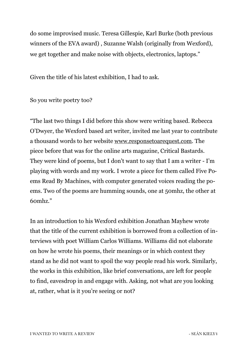do some improvised music. Teresa Gillespie, Karl Burke (both previous winners of the EVA award) , Suzanne Walsh (originally from Wexford), we get together and make noise with objects, electronics, laptops."

Given the title of his latest exhibition, I had to ask.

So you write poetry too?

"The last two things I did before this show were writing based. Rebecca O'Dwyer, the Wexford based art writer, invited me last year to contribute a thousand words to her website [www.responsetoarequest.com](http://www.responsetoarequest.com). The piece before that was for the online arts magazine, Critical Bastards. They were kind of poems, but I don't want to say that I am a writer - I'm playing with words and my work. I wrote a piece for them called Five Poems Read By Machines, with computer generated voices reading the poems. Two of the poems are humming sounds, one at 50mhz, the other at 60mhz."

In an introduction to his Wexford exhibition Jonathan Mayhew wrote that the title of the current exhibition is borrowed from a collection of interviews with poet William Carlos Williams. Williams did not elaborate on how he wrote his poems, their meanings or in which context they stand as he did not want to spoil the way people read his work. Similarly, the works in this exhibition, like brief conversations, are left for people to find, eavesdrop in and engage with. Asking, not what are you looking at, rather, what is it you're seeing or not?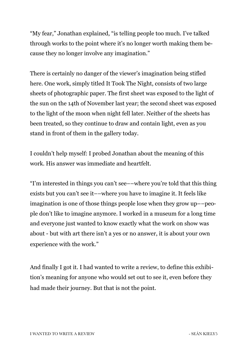"My fear," Jonathan explained, "is telling people too much. I've talked through works to the point where it's no longer worth making them because they no longer involve any imagination."

There is certainly no danger of the viewer's imagination being stifled here. One work, simply titled It Took The Night, consists of two large sheets of photographic paper. The first sheet was exposed to the light of the sun on the 14th of November last year; the second sheet was exposed to the light of the moon when night fell later. Neither of the sheets has been treated, so they continue to draw and contain light, even as you stand in front of them in the gallery today.

I couldn't help myself: I probed Jonathan about the meaning of this work. His answer was immediate and heartfelt.

"I'm interested in things you can't see––where you're told that this thing exists but you can't see it––where you have to imagine it. It feels like imagination is one of those things people lose when they grow up––people don't like to imagine anymore. I worked in a museum for a long time and everyone just wanted to know exactly what the work on show was about - but with art there isn't a yes or no answer, it is about your own experience with the work."

And finally I got it. I had wanted to write a review, to define this exhibition's meaning for anyone who would set out to see it, even before they had made their journey. But that is not the point.